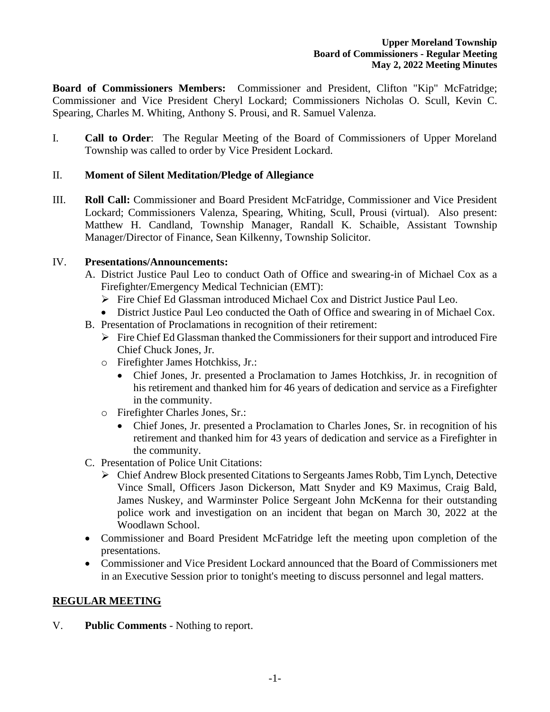**Board of Commissioners Members:** Commissioner and President, Clifton "Kip" McFatridge; Commissioner and Vice President Cheryl Lockard; Commissioners Nicholas O. Scull, Kevin C. Spearing, Charles M. Whiting, Anthony S. Prousi, and R. Samuel Valenza.

I. **Call to Order**: The Regular Meeting of the Board of Commissioners of Upper Moreland Township was called to order by Vice President Lockard.

# II. **Moment of Silent Meditation/Pledge of Allegiance**

III. **Roll Call:** Commissioner and Board President McFatridge, Commissioner and Vice President Lockard; Commissioners Valenza, Spearing, Whiting, Scull, Prousi (virtual). Also present: Matthew H. Candland, Township Manager, Randall K. Schaible, Assistant Township Manager/Director of Finance, Sean Kilkenny, Township Solicitor.

#### IV. **Presentations/Announcements:**

- A. District Justice Paul Leo to conduct Oath of Office and swearing-in of Michael Cox as a Firefighter/Emergency Medical Technician (EMT):
	- ➢ Fire Chief Ed Glassman introduced Michael Cox and District Justice Paul Leo.
	- District Justice Paul Leo conducted the Oath of Office and swearing in of Michael Cox.
- B. Presentation of Proclamations in recognition of their retirement:
	- $\triangleright$  Fire Chief Ed Glassman thanked the Commissioners for their support and introduced Fire Chief Chuck Jones, Jr.
	- o Firefighter James Hotchkiss, Jr.:
		- Chief Jones, Jr. presented a Proclamation to James Hotchkiss, Jr. in recognition of his retirement and thanked him for 46 years of dedication and service as a Firefighter in the community.
	- o Firefighter Charles Jones, Sr.:
		- Chief Jones, Jr. presented a Proclamation to Charles Jones, Sr. in recognition of his retirement and thanked him for 43 years of dedication and service as a Firefighter in the community.
- C. Presentation of Police Unit Citations:
	- ➢ Chief Andrew Block presented Citations to Sergeants James Robb, Tim Lynch, Detective Vince Small, Officers Jason Dickerson, Matt Snyder and K9 Maximus, Craig Bald, James Nuskey, and Warminster Police Sergeant John McKenna for their outstanding police work and investigation on an incident that began on March 30, 2022 at the Woodlawn School.
- Commissioner and Board President McFatridge left the meeting upon completion of the presentations.
- Commissioner and Vice President Lockard announced that the Board of Commissioners met in an Executive Session prior to tonight's meeting to discuss personnel and legal matters.

# **REGULAR MEETING**

V. **Public Comments** - Nothing to report.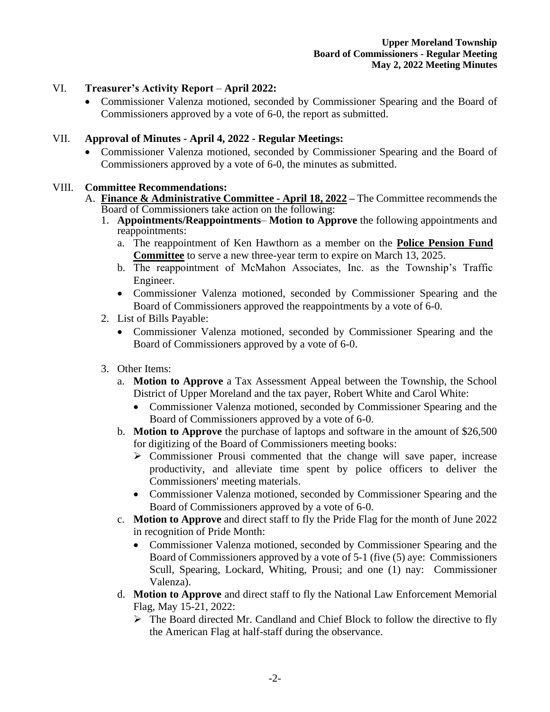# VI. **Treasurer's Activity Report** – **April 2022:**

• Commissioner Valenza motioned, seconded by Commissioner Spearing and the Board of Commissioners approved by a vote of 6-0, the report as submitted.

# VII. **Approval of Minutes - April 4, 2022 - Regular Meetings:**

• Commissioner Valenza motioned, seconded by Commissioner Spearing and the Board of Commissioners approved by a vote of 6-0, the minutes as submitted.

#### VIII. **Committee Recommendations:**

- A. **Finance & Administrative Committee - April 18, 2022 –** The Committee recommends the Board of Commissioners take action on the following:
	- 1. **Appointments/Reappointments Motion to Approve** the following appointments and reappointments:
		- a. The reappointment of Ken Hawthorn as a member on the **Police Pension Fund Committee** to serve a new three-year term to expire on March 13, 2025.
		- b. The reappointment of McMahon Associates, Inc. as the Township's Traffic Engineer.
		- Commissioner Valenza motioned, seconded by Commissioner Spearing and the Board of Commissioners approved the reappointments by a vote of 6-0.
	- 2. List of Bills Payable:
		- Commissioner Valenza motioned, seconded by Commissioner Spearing and the Board of Commissioners approved by a vote of 6-0.
	- 3. Other Items:
		- a. **Motion to Approve** a Tax Assessment Appeal between the Township, the School District of Upper Moreland and the tax payer, Robert White and Carol White:
			- Commissioner Valenza motioned, seconded by Commissioner Spearing and the Board of Commissioners approved by a vote of 6-0.
		- b. **Motion to Approve** the purchase of laptops and software in the amount of \$26,500 for digitizing of the Board of Commissioners meeting books:
			- ➢ Commissioner Prousi commented that the change will save paper, increase productivity, and alleviate time spent by police officers to deliver the Commissioners' meeting materials.
			- Commissioner Valenza motioned, seconded by Commissioner Spearing and the Board of Commissioners approved by a vote of 6-0.
		- c. **Motion to Approve** and direct staff to fly the Pride Flag for the month of June 2022 in recognition of Pride Month:
			- Commissioner Valenza motioned, seconded by Commissioner Spearing and the Board of Commissioners approved by a vote of 5-1 (five (5) aye: Commissioners Scull, Spearing, Lockard, Whiting, Prousi; and one (1) nay: Commissioner Valenza).
		- d. **Motion to Approve** and direct staff to fly the National Law Enforcement Memorial Flag, May 15-21, 2022:
			- $\triangleright$  The Board directed Mr. Candland and Chief Block to follow the directive to fly the American Flag at half-staff during the observance.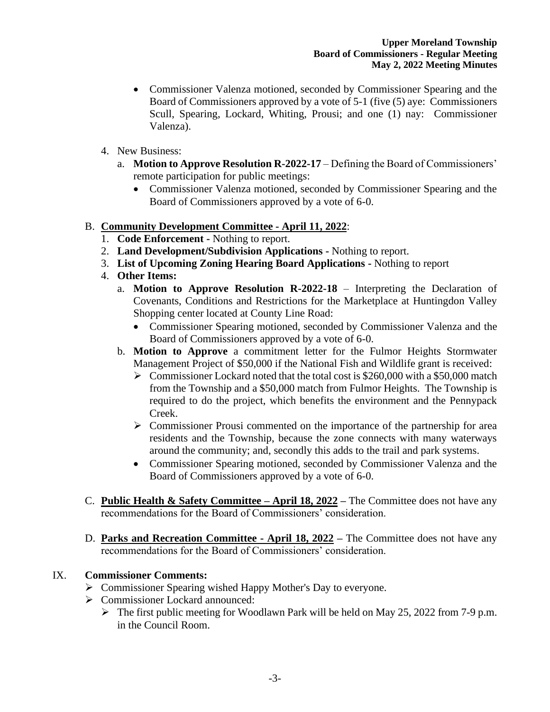- Commissioner Valenza motioned, seconded by Commissioner Spearing and the Board of Commissioners approved by a vote of 5-1 (five (5) aye: Commissioners Scull, Spearing, Lockard, Whiting, Prousi; and one (1) nay: Commissioner Valenza).
- 4. New Business:
	- a. **Motion to Approve Resolution R-2022-17** Defining the Board of Commissioners' remote participation for public meetings:
		- Commissioner Valenza motioned, seconded by Commissioner Spearing and the Board of Commissioners approved by a vote of 6-0.

# B. **Community Development Committee - April 11, 2022**:

- 1. **Code Enforcement -** Nothing to report.
- 2. **Land Development/Subdivision Applications -** Nothing to report.
- 3. **List of Upcoming Zoning Hearing Board Applications -** Nothing to report
- 4. **Other Items:**
	- a. **Motion to Approve Resolution R-2022-18** Interpreting the Declaration of Covenants, Conditions and Restrictions for the Marketplace at Huntingdon Valley Shopping center located at County Line Road:
		- Commissioner Spearing motioned, seconded by Commissioner Valenza and the Board of Commissioners approved by a vote of 6-0.
	- b. **Motion to Approve** a commitment letter for the Fulmor Heights Stormwater Management Project of \$50,000 if the National Fish and Wildlife grant is received:
		- ➢ Commissioner Lockard noted that the total cost is \$260,000 with a \$50,000 match from the Township and a \$50,000 match from Fulmor Heights. The Township is required to do the project, which benefits the environment and the Pennypack Creek.
		- ➢ Commissioner Prousi commented on the importance of the partnership for area residents and the Township, because the zone connects with many waterways around the community; and, secondly this adds to the trail and park systems.
		- Commissioner Spearing motioned, seconded by Commissioner Valenza and the Board of Commissioners approved by a vote of 6-0.
- C. **Public Health & Safety Committee – April 18, 2022 –** The Committee does not have any recommendations for the Board of Commissioners' consideration.
- D. **Parks and Recreation Committee - April 18, 2022 –** The Committee does not have any recommendations for the Board of Commissioners' consideration.

# IX. **Commissioner Comments:**

- ➢ Commissioner Spearing wished Happy Mother's Day to everyone.
- ➢ Commissioner Lockard announced:
	- ➢ The first public meeting for Woodlawn Park will be held on May 25, 2022 from 7-9 p.m. in the Council Room.